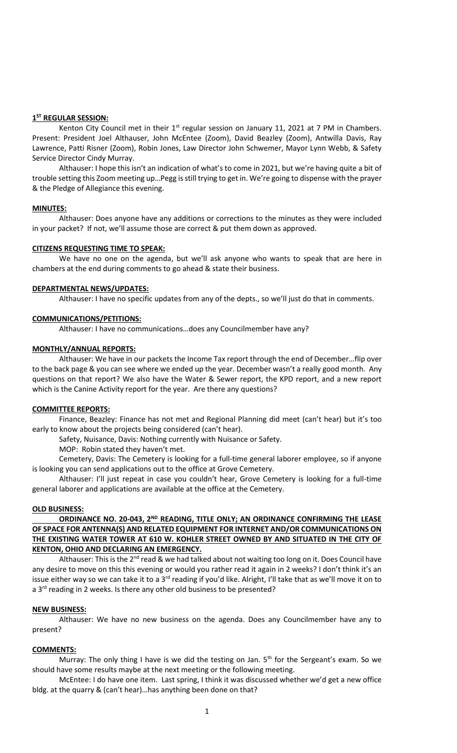# **1 ST REGULAR SESSION:**

Kenton City Council met in their  $1<sup>st</sup>$  regular session on January 11, 2021 at 7 PM in Chambers. Present: President Joel Althauser, John McEntee (Zoom), David Beazley (Zoom), Antwilla Davis, Ray Lawrence, Patti Risner (Zoom), Robin Jones, Law Director John Schwemer, Mayor Lynn Webb, & Safety Service Director Cindy Murray.

Althauser: I hope this isn't an indication of what's to come in 2021, but we're having quite a bit of trouble setting this Zoom meeting up…Pegg is still trying to get in. We're going to dispense with the prayer & the Pledge of Allegiance this evening.

#### **MINUTES:**

Althauser: Does anyone have any additions or corrections to the minutes as they were included in your packet? If not, we'll assume those are correct & put them down as approved.

#### **CITIZENS REQUESTING TIME TO SPEAK:**

We have no one on the agenda, but we'll ask anyone who wants to speak that are here in chambers at the end during comments to go ahead & state their business.

### **DEPARTMENTAL NEWS/UPDATES:**

Althauser: I have no specific updates from any of the depts., so we'll just do that in comments.

### **COMMUNICATIONS/PETITIONS:**

Althauser: I have no communications…does any Councilmember have any?

### **MONTHLY/ANNUAL REPORTS:**

Althauser: We have in our packets the Income Tax report through the end of December…flip over to the back page & you can see where we ended up the year. December wasn't a really good month. Any questions on that report? We also have the Water & Sewer report, the KPD report, and a new report which is the Canine Activity report for the year. Are there any questions?

# **COMMITTEE REPORTS:**

Finance, Beazley: Finance has not met and Regional Planning did meet (can't hear) but it's too early to know about the projects being considered (can't hear).

Safety, Nuisance, Davis: Nothing currently with Nuisance or Safety.

MOP: Robin stated they haven't met.

Cemetery, Davis: The Cemetery is looking for a full-time general laborer employee, so if anyone is looking you can send applications out to the office at Grove Cemetery.

Althauser: I'll just repeat in case you couldn't hear, Grove Cemetery is looking for a full-time general laborer and applications are available at the office at the Cemetery.

#### **OLD BUSINESS:**

**ORDINANCE NO. 20-043, 2ND READING, TITLE ONLY; AN ORDINANCE CONFIRMING THE LEASE OF SPACE FOR ANTENNA(S) AND RELATED EQUIPMENT FOR INTERNET AND/OR COMMUNICATIONS ON THE EXISTING WATER TOWER AT 610 W. KOHLER STREET OWNED BY AND SITUATED IN THE CITY OF KENTON, OHIO AND DECLARING AN EMERGENCY.**

Althauser: This is the  $2<sup>nd</sup>$  read & we had talked about not waiting too long on it. Does Council have any desire to move on this this evening or would you rather read it again in 2 weeks? I don't think it's an issue either way so we can take it to a 3<sup>rd</sup> reading if you'd like. Alright, I'll take that as we'll move it on to a 3<sup>rd</sup> reading in 2 weeks. Is there any other old business to be presented?

### **NEW BUSINESS:**

Althauser: We have no new business on the agenda. Does any Councilmember have any to present?

# **COMMENTS:**

Murray: The only thing I have is we did the testing on Jan.  $5<sup>th</sup>$  for the Sergeant's exam. So we should have some results maybe at the next meeting or the following meeting.

McEntee: I do have one item. Last spring, I think it was discussed whether we'd get a new office bldg. at the quarry & (can't hear)…has anything been done on that?